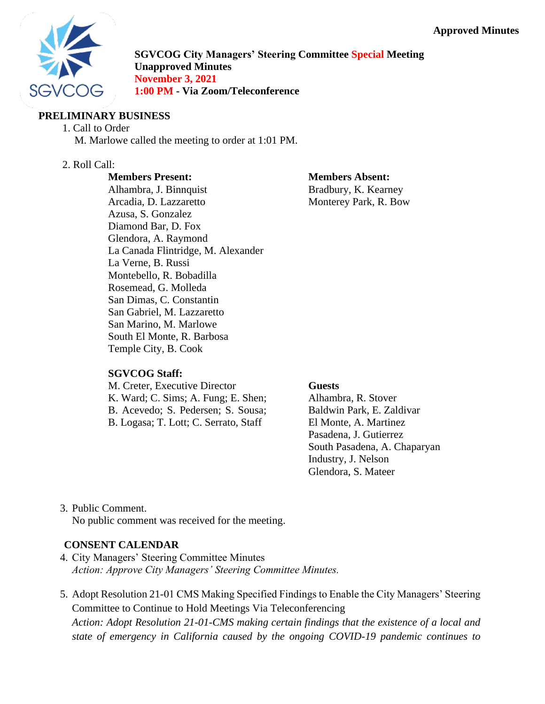### **Approved Minutes**



**SGVCOG City Managers' Steering Committee Special Meeting Unapproved Minutes November 3, 2021 1:00 PM - Via Zoom/Teleconference**

### **PRELIMINARY BUSINESS**

#### 1. Call to Order

M. Marlowe called the meeting to order at 1:01 PM.

### 2. Roll Call:

#### **Members Present:**

# **Members Absent:**

Alhambra, J. Binnquist Arcadia, D. Lazzaretto Azusa, S. Gonzalez Diamond Bar, D. Fox Glendora, A. Raymond La Canada Flintridge, M. Alexander La Verne, B. Russi Montebello, R. Bobadilla Rosemead, G. Molleda San Dimas, C. Constantin San Gabriel, M. Lazzaretto San Marino, M. Marlowe South El Monte, R. Barbosa Temple City, B. Cook

### **SGVCOG Staff:**

M. Creter, Executive Director K. Ward; C. Sims; A. Fung; E. Shen; B. Acevedo; S. Pedersen; S. Sousa; B. Logasa; T. Lott; C. Serrato, Staff

Bradbury, K. Kearney Monterey Park, R. Bow

#### **Guests**

Alhambra, R. Stover Baldwin Park, E. Zaldivar El Monte, A. Martinez Pasadena, J. Gutierrez South Pasadena, A. Chaparyan Industry, J. Nelson Glendora, S. Mateer

# 3. Public Comment.

No public comment was received for the meeting.

### **CONSENT CALENDAR**

- 4. City Managers' Steering Committee Minutes *Action: Approve City Managers' Steering Committee Minutes.*
- 5. Adopt Resolution 21-01 CMS Making Specified Findings to Enable the City Managers' Steering Committee to Continue to Hold Meetings Via Teleconferencing *Action: Adopt Resolution 21-01-CMS making certain findings that the existence of a local and state of emergency in California caused by the ongoing COVID-19 pandemic continues to*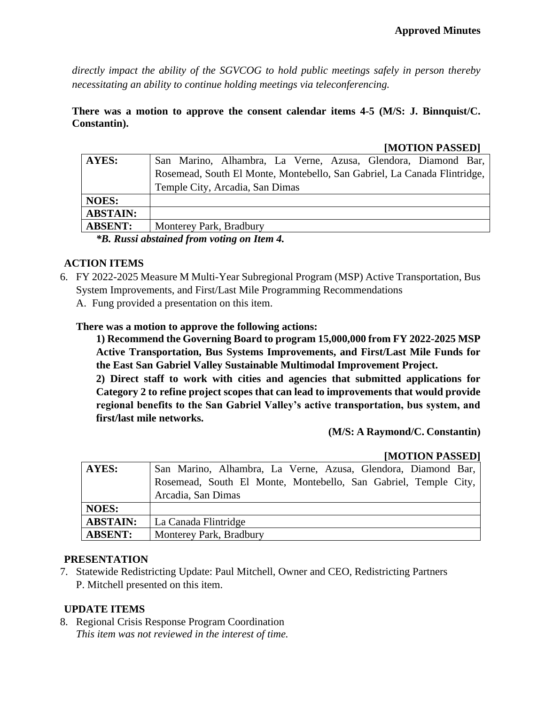*directly impact the ability of the SGVCOG to hold public meetings safely in person thereby necessitating an ability to continue holding meetings via teleconferencing.*

### **There was a motion to approve the consent calendar items 4-5 (M/S: J. Binnquist/C. Constantin).**

#### **[MOTION PASSED]**

| AYES:                                             | San Marino, Alhambra, La Verne, Azusa, Glendora, Diamond Bar,            |
|---------------------------------------------------|--------------------------------------------------------------------------|
|                                                   | Rosemead, South El Monte, Montebello, San Gabriel, La Canada Flintridge, |
|                                                   | Temple City, Arcadia, San Dimas                                          |
| <b>NOES:</b>                                      |                                                                          |
| <b>ABSTAIN:</b>                                   |                                                                          |
| <b>ABSENT:</b>                                    | Monterey Park, Bradbury                                                  |
| <i>*B. Russi abstained from voting on Item 4.</i> |                                                                          |

### **ACTION ITEMS**

- 6. FY 2022-2025 Measure M Multi-Year Subregional Program (MSP) Active Transportation, Bus System Improvements, and First/Last Mile Programming Recommendations
	- A. Fung provided a presentation on this item.

### **There was a motion to approve the following actions:**

**1) Recommend the Governing Board to program 15,000,000 from FY 2022-2025 MSP Active Transportation, Bus Systems Improvements, and First/Last Mile Funds for the East San Gabriel Valley Sustainable Multimodal Improvement Project.**

**2) Direct staff to work with cities and agencies that submitted applications for Category 2 to refine project scopes that can lead to improvements that would provide regional benefits to the San Gabriel Valley's active transportation, bus system, and first/last mile networks.**

 **(M/S: A Raymond/C. Constantin)**

#### **[MOTION PASSED]**

| AYES:           | San Marino, Alhambra, La Verne, Azusa, Glendora, Diamond Bar,   |
|-----------------|-----------------------------------------------------------------|
|                 | Rosemead, South El Monte, Montebello, San Gabriel, Temple City, |
|                 | Arcadia, San Dimas                                              |
| <b>NOES:</b>    |                                                                 |
| <b>ABSTAIN:</b> | La Canada Flintridge                                            |
| <b>ABSENT:</b>  | Monterey Park, Bradbury                                         |

### **PRESENTATION**

7. Statewide Redistricting Update: Paul Mitchell, Owner and CEO, Redistricting Partners P. Mitchell presented on this item.

### **UPDATE ITEMS**

8. Regional Crisis Response Program Coordination *This item was not reviewed in the interest of time.*